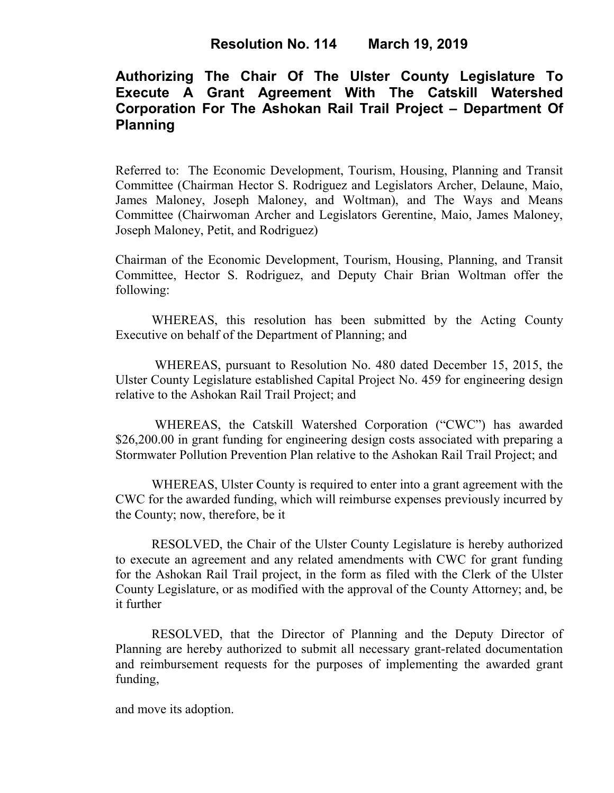## **Authorizing The Chair Of The Ulster County Legislature To Execute A Grant Agreement With The Catskill Watershed Corporation For The Ashokan Rail Trail Project – Department Of Planning**

Referred to: The Economic Development, Tourism, Housing, Planning and Transit Committee (Chairman Hector S. Rodriguez and Legislators Archer, Delaune, Maio, James Maloney, Joseph Maloney, and Woltman), and The Ways and Means Committee (Chairwoman Archer and Legislators Gerentine, Maio, James Maloney, Joseph Maloney, Petit, and Rodriguez)

Chairman of the Economic Development, Tourism, Housing, Planning, and Transit Committee, Hector S. Rodriguez, and Deputy Chair Brian Woltman offer the following:

WHEREAS, this resolution has been submitted by the Acting County Executive on behalf of the Department of Planning; and

WHEREAS, pursuant to Resolution No. 480 dated December 15, 2015, the Ulster County Legislature established Capital Project No. 459 for engineering design relative to the Ashokan Rail Trail Project; and

WHEREAS, the Catskill Watershed Corporation ("CWC") has awarded \$26,200.00 in grant funding for engineering design costs associated with preparing a Stormwater Pollution Prevention Plan relative to the Ashokan Rail Trail Project; and

WHEREAS, Ulster County is required to enter into a grant agreement with the CWC for the awarded funding, which will reimburse expenses previously incurred by the County; now, therefore, be it

RESOLVED, the Chair of the Ulster County Legislature is hereby authorized to execute an agreement and any related amendments with CWC for grant funding for the Ashokan Rail Trail project, in the form as filed with the Clerk of the Ulster County Legislature, or as modified with the approval of the County Attorney; and, be it further

RESOLVED, that the Director of Planning and the Deputy Director of Planning are hereby authorized to submit all necessary grant-related documentation and reimbursement requests for the purposes of implementing the awarded grant funding,

and move its adoption.